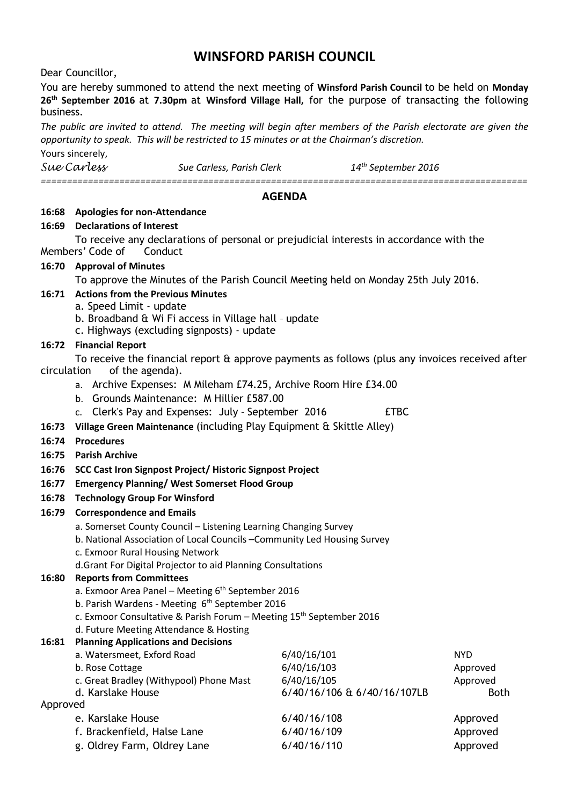# **WINSFORD PARISH COUNCIL**

Dear Councillor,

You are hereby summoned to attend the next meeting of **Winsford Parish Council** to be held on **Monday 26th September 2016** at **7.30pm** at **Winsford Village Hall,** for the purpose of transacting the following business.

The public are invited to attend. The meeting will begin after members of the Parish electorate are given the *opportunity to speak. This will be restricted to 15 minutes or at the Chairman's discretion.*

Yours sincerely,

*Sue Carless Sue Carless, Parish Clerk 14th September 2016 =============================================================================================*

#### **AGENDA**

#### **16:68 Apologies for non-Attendance**

#### **16:69 Declarations of Interest**

To receive any declarations of personal or prejudicial interests in accordance with the Members' Code of Conduct

## **16:70 Approval of Minutes**

To approve the Minutes of the Parish Council Meeting held on Monday 25th July 2016.

# **16:71 Actions from the Previous Minutes**

- a. Speed Limit update
- b. Broadband & Wi Fi access in Village hall update
- c. Highways (excluding signposts) update

## **16:72 Financial Report**

To receive the financial report & approve payments as follows (plus any invoices received after circulation of the agenda).

- a. Archive Expenses: M Mileham £74.25, Archive Room Hire £34.00
- b. Grounds Maintenance: M Hillier £587.00
- c. Clerk's Pay and Expenses: July September 2016 **ETBC**
- **16:73 Village Green Maintenance** (including Play Equipment & Skittle Alley)
- **16:74 Procedures**
- **16:75 Parish Archive**
- **16:76 SCC Cast Iron Signpost Project/ Historic Signpost Project**

## **16:77 Emergency Planning/ West Somerset Flood Group**

**16:78 Technology Group For Winsford**

## **16:79 Correspondence and Emails**

- a. Somerset County Council Listening Learning Changing Survey
- b. National Association of Local Councils –Community Led Housing Survey
- c. Exmoor Rural Housing Network
- d.Grant For Digital Projector to aid Planning Consultations

## **16:80 Reports from Committees**

- a. Exmoor Area Panel Meeting 6<sup>th</sup> September 2016
- b. Parish Wardens Meeting 6<sup>th</sup> September 2016
- c. Exmoor Consultative & Parish Forum Meeting  $15<sup>th</sup>$  September 2016
- d. Future Meeting Attendance & Hosting

## **16:81 Planning Applications and Decisions**

| a. Watersmeet, Exford Road              | 6/40/16/101                 | <b>NYD</b>  |
|-----------------------------------------|-----------------------------|-------------|
| b. Rose Cottage                         | 6/40/16/103                 | Approved    |
| c. Great Bradley (Withypool) Phone Mast | 6/40/16/105                 | Approved    |
| d. Karslake House                       | 6/40/16/106 & 6/40/16/107LB | <b>Both</b> |
| Approved                                |                             |             |
| e. Karslake House                       | 6/40/16/108                 | Approved    |
| f. Brackenfield, Halse Lane             | 6/40/16/109                 | Approved    |
| g. Oldrey Farm, Oldrey Lane             | 6/40/16/110                 | Approved    |